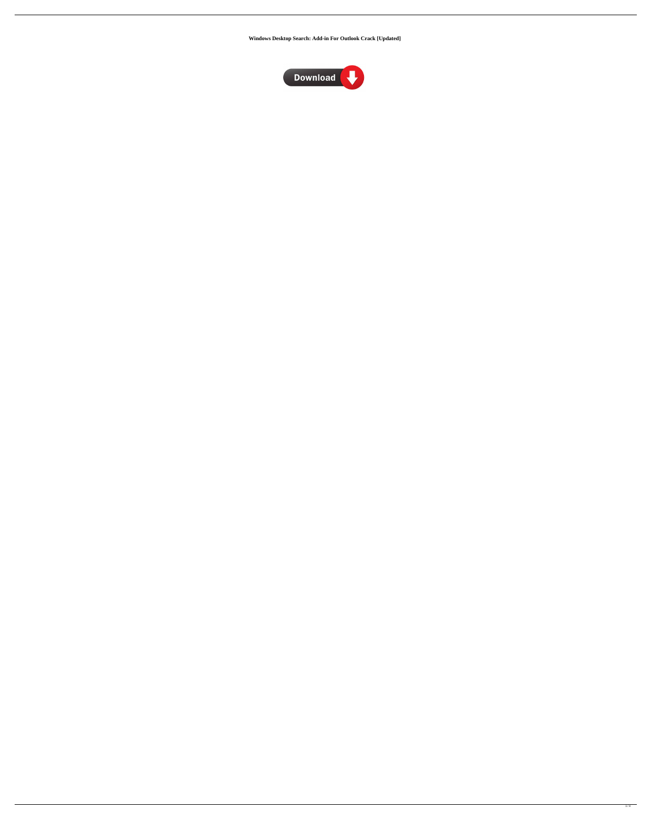**Windows Desktop Search: Add-in For Outlook Crack [Updated]**

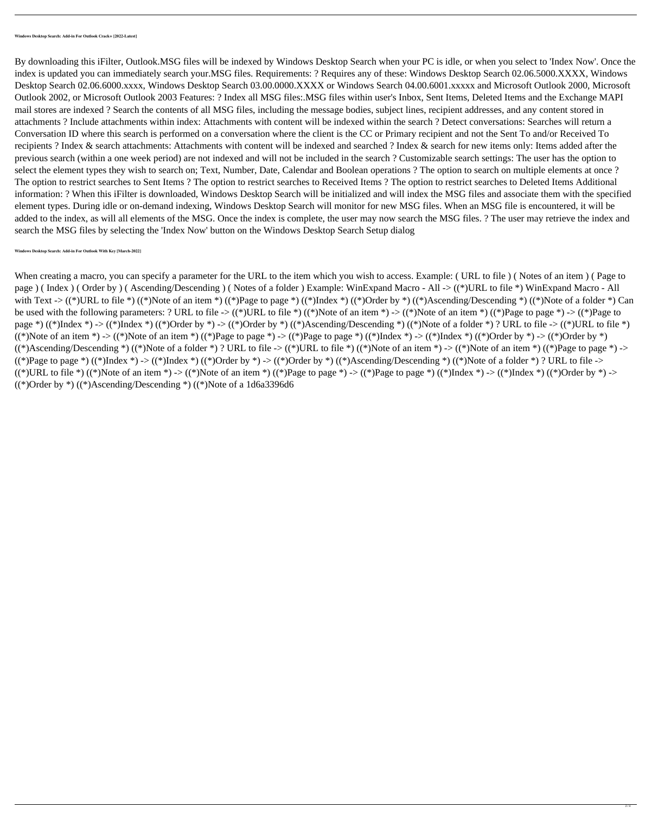By downloading this iFilter, Outlook.MSG files will be indexed by Windows Desktop Search when your PC is idle, or when you select to 'Index Now'. Once the index is updated you can immediately search your.MSG files. Requirements: ? Requires any of these: Windows Desktop Search 02.06.5000.XXXX, Windows Desktop Search 02.06.6000.xxxx, Windows Desktop Search 03.00.0000.XXXX or Windows Search 04.00.6001.xxxxx and Microsoft Outlook 2000, Microsoft Outlook 2002, or Microsoft Outlook 2003 Features: ? Index all MSG files:.MSG files within user's Inbox, Sent Items, Deleted Items and the Exchange MAPI mail stores are indexed ? Search the contents of all MSG files, including the message bodies, subject lines, recipient addresses, and any content stored in attachments ? Include attachments within index: Attachments with content will be indexed within the search ? Detect conversations: Searches will return a Conversation ID where this search is performed on a conversation where the client is the CC or Primary recipient and not the Sent To and/or Received To recipients ? Index & search attachments: Attachments with content will be indexed and searched ? Index & search for new items only: Items added after the previous search (within a one week period) are not indexed and will not be included in the search ? Customizable search settings: The user has the option to select the element types they wish to search on; Text, Number, Date, Calendar and Boolean operations ? The option to search on multiple elements at once ? The option to restrict searches to Sent Items ? The option to restrict searches to Received Items ? The option to restrict searches to Deleted Items Additional information: ? When this iFilter is downloaded, Windows Desktop Search will be initialized and will index the MSG files and associate them with the specified element types. During idle or on-demand indexing, Windows Desktop Search will monitor for new MSG files. When an MSG file is encountered, it will be added to the index, as will all elements of the MSG. Once the index is complete, the user may now search the MSG files. ? The user may retrieve the index and search the MSG files by selecting the 'Index Now' button on the Windows Desktop Search Setup dialog

When creating a macro, you can specify a parameter for the URL to the item which you wish to access. Example: ( URL to file ) ( Notes of an item ) ( Page to page ) ( Index ) ( Order by ) ( Ascending/Descending ) ( Notes of a folder ) Example: WinExpand Macro - All -> ((\*)URL to file \*) WinExpand Macro - All with Text  $\rightarrow$  ((\*)URL to file \*) ((\*)Note of an item \*) ((\*)Page to page \*) ((\*)Index \*) ((\*)Order by \*) ((\*)Ascending/Descending \*) ((\*)Note of a folder \*) Can

be used with the following parameters: ? URL to file  $\rightarrow$  (\*)URL to file \*) (\*)Note of an item \*) -> (\*)Note of an item \*) (\*)Page to page \*) -> (\*)Page to page \*) ((\*)Index \*) -> ((\*)Index \*) ((\*)Order by \*) -> ((\*)Order by \*) ((\*)Ascending/Descending \*) ((\*)Note of a folder \*) ? URL to file -> ((\*)URL to file \*) ((\*)Note of an item \*) -> ((\*)Note of an item \*) ((\*)Page to page \*) -> ((\*)Page to page \*) ((\*)Index \*) -> ((\*)Index \*) ((\*)Order by \*) -> ((\*)Order by \*)  $((*)$ Ascending/Descending \*)  $((*)$ Note of a folder \*) ? URL to file ->  $((*)$ URL to file \*)  $((*)$ Note of an item \*) ->  $((*)$ Note of an item \*)  $((*)$ Page to page \*) ->  $((*)$ Page to page \*)  $((*)$ Index \*) ->  $((*)$ Index \*)  $((*)$ Order by \*) ->  $((*)$ Order by \*)  $((*)$ Ascending/Descending \*)  $((*)$ Note of a folder \*) ? URL to file ->  $((*)\text{URL to file }*)(*)$ Note of an item  $*)$  ->  $(*)$ Note of an item  $*)$   $(*)$ Page to page  $*)$  ->  $(*)$ Page to page  $*)$   $(*)$ Index  $*)$  ->  $(*)$ Index  $*)$   $(*)$ Order by  $*)$  ->  $((*)$ Order by \*)  $((*)$ Ascending/Descending \*)  $((*)$ Note of a 1d6a3396d6

**Windows Desktop Search: Add-in For Outlook With Key [March-2022]**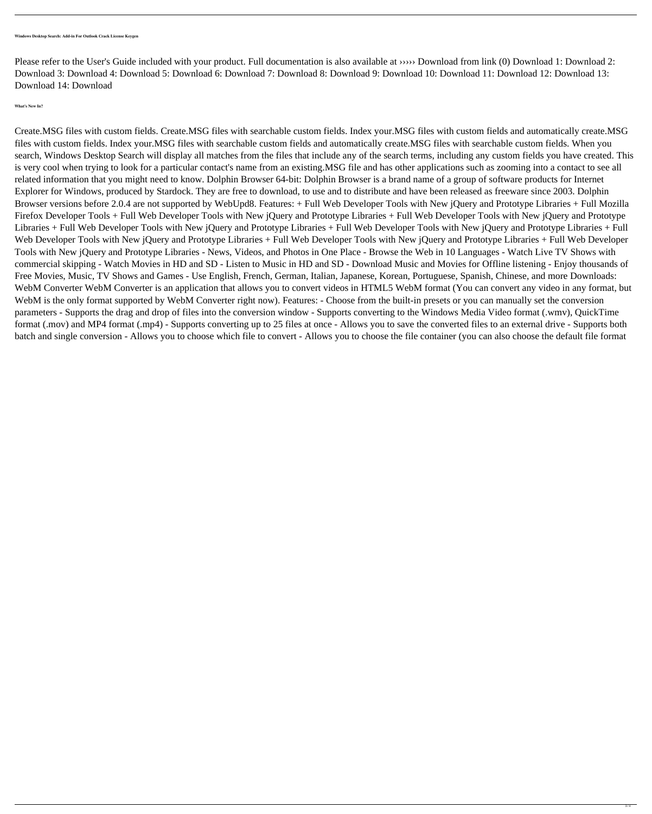Please refer to the User's Guide included with your product. Full documentation is also available at ››››› Download from link (0) Download 1: Download 2: Download 3: Download 4: Download 5: Download 6: Download 7: Download 8: Download 9: Download 10: Download 11: Download 12: Download 13: Download 14: Download

**What's New In?**

Create.MSG files with custom fields. Create.MSG files with searchable custom fields. Index your.MSG files with custom fields and automatically create.MSG files with custom fields. Index your.MSG files with searchable custom fields and automatically create.MSG files with searchable custom fields. When you search, Windows Desktop Search will display all matches from the files that include any of the search terms, including any custom fields you have created. This is very cool when trying to look for a particular contact's name from an existing.MSG file and has other applications such as zooming into a contact to see all related information that you might need to know. Dolphin Browser 64-bit: Dolphin Browser is a brand name of a group of software products for Internet Explorer for Windows, produced by Stardock. They are free to download, to use and to distribute and have been released as freeware since 2003. Dolphin Browser versions before 2.0.4 are not supported by WebUpd8. Features: + Full Web Developer Tools with New jQuery and Prototype Libraries + Full Mozilla Firefox Developer Tools + Full Web Developer Tools with New jQuery and Prototype Libraries + Full Web Developer Tools with New jQuery and Prototype Libraries + Full Web Developer Tools with New jQuery and Prototype Libraries + Full Web Developer Tools with New jQuery and Prototype Libraries + Full Web Developer Tools with New jQuery and Prototype Libraries + Full Web Developer Tools with New jQuery and Prototype Libraries + Full Web Developer Tools with New jQuery and Prototype Libraries - News, Videos, and Photos in One Place - Browse the Web in 10 Languages - Watch Live TV Shows with commercial skipping - Watch Movies in HD and SD - Listen to Music in HD and SD - Download Music and Movies for Offline listening - Enjoy thousands of Free Movies, Music, TV Shows and Games - Use English, French, German, Italian, Japanese, Korean, Portuguese, Spanish, Chinese, and more Downloads: WebM Converter WebM Converter is an application that allows you to convert videos in HTML5 WebM format (You can convert any video in any format, but WebM is the only format supported by WebM Converter right now). Features: - Choose from the built-in presets or you can manually set the conversion parameters - Supports the drag and drop of files into the conversion window - Supports converting to the Windows Media Video format (.wmv), QuickTime format (.mov) and MP4 format (.mp4) - Supports converting up to 25 files at once - Allows you to save the converted files to an external drive - Supports both batch and single conversion - Allows you to choose which file to convert - Allows you to choose the file container (you can also choose the default file format